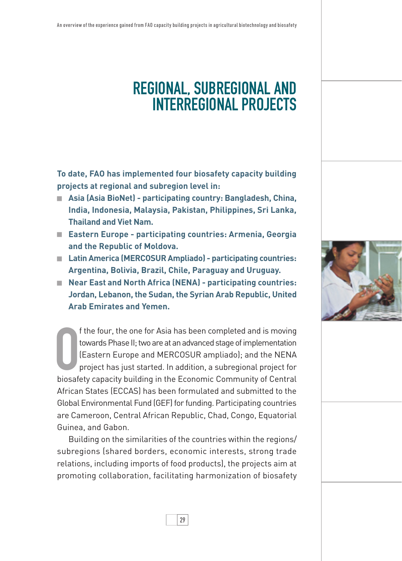## regional, subregional and interregional projects

**To date, FAO has implemented four biosafety capacity building projects at regional and subregion level in:** 

- **Asia (Asia BioNet) participating country: Bangladesh, China, India, Indonesia, Malaysia, Pakistan, Philippines, Sri Lanka, Thailand and Viet Nam.**
- **Eastern Europe participating countries: Armenia, Georgia and the Republic of Moldova.**
- **Latin America (MERCOSUR Ampliado) participating countries: Argentina, Bolivia, Brazil, Chile, Paraguay and Uruguay.**
- **Near East and North Africa (NENA)** participating countries: **Jordan, Lebanon, the Sudan, the Syrian Arab Republic, United Arab Emirates and Yemen.**

f the four, the one for Asia has been completed and is moving<br>towards Phase II; two are at an advanced stage of implementation<br>(Eastern Europe and MERCOSUR ampliado); and the NENA<br>project has just started. In addition, a s f the four, the one for Asia has been completed and is moving towards Phase II; two are at an advanced stage of implementation (Eastern Europe and MERCOSUR ampliado); and the NENA project has just started. In addition, a subregional project for African States (ECCAS) has been formulated and submitted to the Global Environmental Fund (GEF) for funding. Participating countries are Cameroon, Central African Republic, Chad, Congo, Equatorial Guinea, and Gabon.

Building on the similarities of the countries within the regions/ subregions (shared borders, economic interests, strong trade relations, including imports of food products), the projects aim at promoting collaboration, facilitating harmonization of biosafety

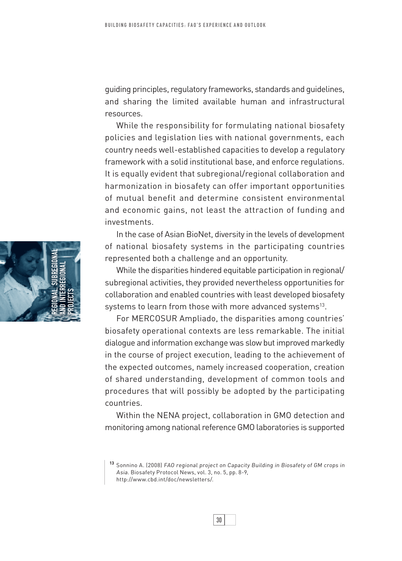guiding principles, regulatory frameworks, standards and guidelines, and sharing the limited available human and infrastructural resources.

While the responsibility for formulating national biosafety policies and legislation lies with national governments, each country needs well-established capacities to develop a regulatory framework with a solid institutional base, and enforce regulations. It is equally evident that subregional/regional collaboration and harmonization in biosafety can offer important opportunities of mutual benefit and determine consistent environmental and economic gains, not least the attraction of funding and investments.

In the case of Asian BioNet, diversity in the levels of development of national biosafety systems in the participating countries represented both a challenge and an opportunity.

While the disparities hindered equitable participation in regional/ subregional activities, they provided nevertheless opportunities for collaboration and enabled countries with least developed biosafety systems to learn from those with more advanced systems<sup>13</sup>.

For MERCOSUR Ampliado, the disparities among countries' biosafety operational contexts are less remarkable. The initial dialogue and information exchange was slow but improved markedly in the course of project execution, leading to the achievement of the expected outcomes, namely increased cooperation, creation of shared understanding, development of common tools and procedures that will possibly be adopted by the participating countries.

Within the NENA project, collaboration in GMO detection and monitoring among national reference GMO laboratories is supported





**<sup>13</sup>** Sonnino A. (2008) FAO regional project on Capacity Building in Biosafety of GM crops in Asia. Biosafety Protocol News, vol. 3, no. 5, pp. 8-9, http://www.cbd.int/doc/newsletters/.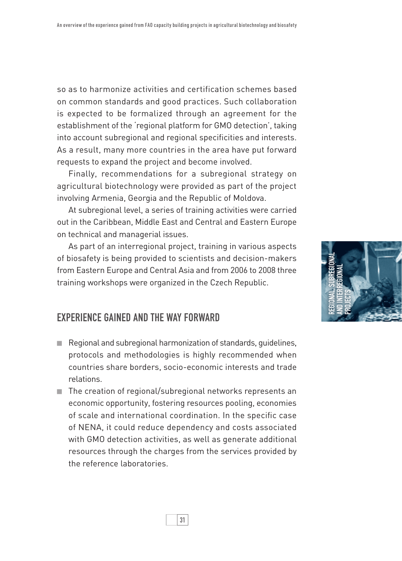so as to harmonize activities and certification schemes based on common standards and good practices. Such collaboration is expected to be formalized through an agreement for the establishment of the 'regional platform for GMO detection', taking into account subregional and regional specificities and interests. As a result, many more countries in the area have put forward requests to expand the project and become involved.

Finally, recommendations for a subregional strategy on agricultural biotechnology were provided as part of the project involving Armenia, Georgia and the Republic of Moldova.

At subregional level, a series of training activities were carried out in the Caribbean, Middle East and Central and Eastern Europe on technical and managerial issues.

As part of an interregional project, training in various aspects of biosafety is being provided to scientists and decision-makers from Eastern Europe and Central Asia and from 2006 to 2008 three training workshops were organized in the Czech Republic.



## Experience gained and the way forward

- Regional and subregional harmonization of standards, quidelines, protocols and methodologies is highly recommended when countries share borders, socio-economic interests and trade relations.
- The creation of regional/subregional networks represents an economic opportunity, fostering resources pooling, economies of scale and international coordination. In the specific case of NENA, it could reduce dependency and costs associated with GMO detection activities, as well as generate additional resources through the charges from the services provided by the reference laboratories.